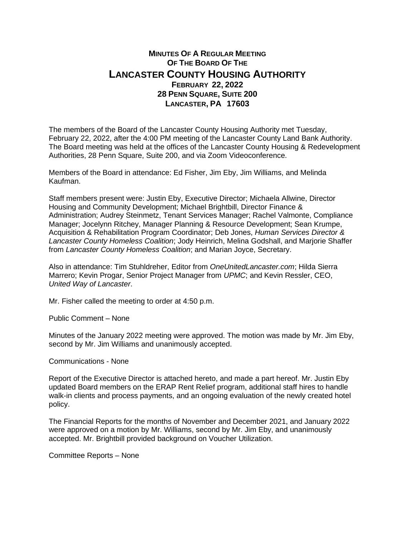## **MINUTES OF A REGULAR MEETING OF THE BOARD OF THE LANCASTER COUNTY HOUSING AUTHORITY FEBRUARY 22, 2022 28 PENN SQUARE, SUITE 200 LANCASTER, PA 17603**

The members of the Board of the Lancaster County Housing Authority met Tuesday, February 22, 2022, after the 4:00 PM meeting of the Lancaster County Land Bank Authority. The Board meeting was held at the offices of the Lancaster County Housing & Redevelopment Authorities, 28 Penn Square, Suite 200, and via Zoom Videoconference.

Members of the Board in attendance: Ed Fisher, Jim Eby, Jim Williams, and Melinda Kaufman.

Staff members present were: Justin Eby, Executive Director; Michaela Allwine, Director Housing and Community Development; Michael Brightbill, Director Finance & Administration; Audrey Steinmetz, Tenant Services Manager; Rachel Valmonte, Compliance Manager; Jocelynn Ritchey, Manager Planning & Resource Development; Sean Krumpe, Acquisition & Rehabilitation Program Coordinator; Deb Jones, *Human Services Director & Lancaster County Homeless Coalition*; Jody Heinrich, Melina Godshall, and Marjorie Shaffer from *Lancaster County Homeless Coalition*; and Marian Joyce, Secretary.

Also in attendance: Tim Stuhldreher, Editor from *OneUnitedLancaster.com*; Hilda Sierra Marrero; Kevin Progar, Senior Project Manager from *UPMC*; and Kevin Ressler, CEO, *United Way of Lancaster*.

Mr. Fisher called the meeting to order at 4:50 p.m.

Public Comment – None

Minutes of the January 2022 meeting were approved. The motion was made by Mr. Jim Eby, second by Mr. Jim Williams and unanimously accepted.

Communications - None

Report of the Executive Director is attached hereto, and made a part hereof. Mr. Justin Eby updated Board members on the ERAP Rent Relief program, additional staff hires to handle walk-in clients and process payments, and an ongoing evaluation of the newly created hotel policy.

The Financial Reports for the months of November and December 2021, and January 2022 were approved on a motion by Mr. Williams, second by Mr. Jim Eby, and unanimously accepted. Mr. Brightbill provided background on Voucher Utilization.

Committee Reports – None